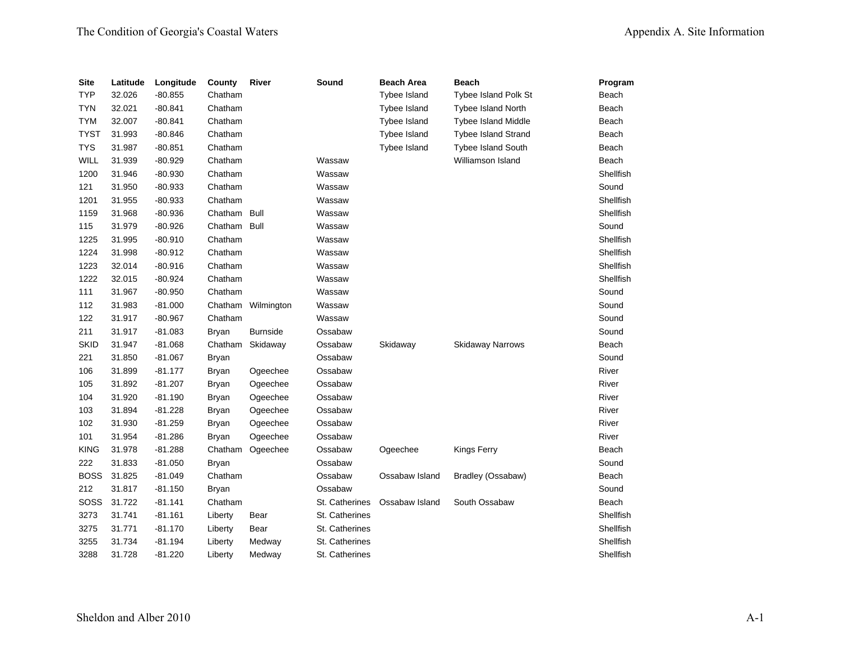| <b>Site</b> | Latitude | Longitude | County       | River              | Sound          | <b>Beach Area</b>   | <b>Beach</b>                | Program   |
|-------------|----------|-----------|--------------|--------------------|----------------|---------------------|-----------------------------|-----------|
| <b>TYP</b>  | 32.026   | $-80.855$ | Chatham      |                    |                | <b>Tybee Island</b> | <b>Tybee Island Polk St</b> | Beach     |
| <b>TYN</b>  | 32.021   | $-80.841$ | Chatham      |                    |                | Tybee Island        | <b>Tybee Island North</b>   | Beach     |
| <b>TYM</b>  | 32.007   | $-80.841$ | Chatham      |                    |                | Tybee Island        | <b>Tybee Island Middle</b>  | Beach     |
| <b>TYST</b> | 31.993   | -80.846   | Chatham      |                    |                | Tybee Island        | <b>Tybee Island Strand</b>  | Beach     |
| <b>TYS</b>  | 31.987   | $-80.851$ | Chatham      |                    |                | Tybee Island        | <b>Tybee Island South</b>   | Beach     |
| WILL        | 31.939   | $-80.929$ | Chatham      |                    | Wassaw         |                     | Williamson Island           | Beach     |
| 1200        | 31.946   | $-80.930$ | Chatham      |                    | Wassaw         |                     |                             | Shellfish |
| 121         | 31.950   | $-80.933$ | Chatham      |                    | Wassaw         |                     |                             | Sound     |
| 1201        | 31.955   | $-80.933$ | Chatham      |                    | Wassaw         |                     |                             | Shellfish |
| 1159        | 31.968   | $-80.936$ | Chatham Bull |                    | Wassaw         |                     |                             | Shellfish |
| 115         | 31.979   | $-80.926$ | Chatham      | Bull               | Wassaw         |                     |                             | Sound     |
| 1225        | 31.995   | $-80.910$ | Chatham      |                    | Wassaw         |                     |                             | Shellfish |
| 1224        | 31.998   | $-80.912$ | Chatham      |                    | Wassaw         |                     |                             | Shellfish |
| 1223        | 32.014   | $-80.916$ | Chatham      |                    | Wassaw         |                     |                             | Shellfish |
| 1222        | 32.015   | $-80.924$ | Chatham      |                    | Wassaw         |                     |                             | Shellfish |
| 111         | 31.967   | $-80.950$ | Chatham      |                    | Wassaw         |                     |                             | Sound     |
| 112         | 31.983   | $-81.000$ |              | Chatham Wilmington | Wassaw         |                     |                             | Sound     |
| 122         | 31.917   | $-80.967$ | Chatham      |                    | Wassaw         |                     |                             | Sound     |
| 211         | 31.917   | $-81.083$ | Bryan        | <b>Burnside</b>    | Ossabaw        |                     |                             | Sound     |
| <b>SKID</b> | 31.947   | $-81.068$ |              | Chatham Skidaway   | Ossabaw        | Skidaway            | <b>Skidaway Narrows</b>     | Beach     |
| 221         | 31.850   | $-81.067$ | Bryan        |                    | Ossabaw        |                     |                             | Sound     |
| 106         | 31.899   | $-81.177$ | <b>Bryan</b> | Ogeechee           | Ossabaw        |                     |                             | River     |
| 105         | 31.892   | $-81.207$ | Bryan        | Ogeechee           | Ossabaw        |                     |                             | River     |
| 104         | 31.920   | $-81.190$ | <b>Bryan</b> | Ogeechee           | Ossabaw        |                     |                             | River     |
| 103         | 31.894   | $-81.228$ | Bryan        | Ogeechee           | Ossabaw        |                     |                             | River     |
| 102         | 31.930   | $-81.259$ | Bryan        | Ogeechee           | Ossabaw        |                     |                             | River     |
| 101         | 31.954   | $-81.286$ | Bryan        | Ogeechee           | Ossabaw        |                     |                             | River     |
| <b>KING</b> | 31.978   | $-81.288$ |              | Chatham Ogeechee   | Ossabaw        | Ogeechee            | Kings Ferry                 | Beach     |
| 222         | 31.833   | $-81.050$ | Bryan        |                    | Ossabaw        |                     |                             | Sound     |
| <b>BOSS</b> | 31.825   | $-81.049$ | Chatham      |                    | Ossabaw        | Ossabaw Island      | Bradley (Ossabaw)           | Beach     |
| 212         | 31.817   | $-81.150$ | <b>Bryan</b> |                    | Ossabaw        |                     |                             | Sound     |
| SOSS        | 31.722   | $-81.141$ | Chatham      |                    | St. Catherines | Ossabaw Island      | South Ossabaw               | Beach     |
| 3273        | 31.741   | $-81.161$ | Liberty      | Bear               | St. Catherines |                     |                             | Shellfish |
| 3275        | 31.771   | $-81.170$ | Liberty      | Bear               | St. Catherines |                     |                             | Shellfish |
| 3255        | 31.734   | $-81.194$ | Liberty      | Medway             | St. Catherines |                     |                             | Shellfish |
| 3288        | 31.728   | $-81.220$ | Liberty      | Medway             | St. Catherines |                     |                             | Shellfish |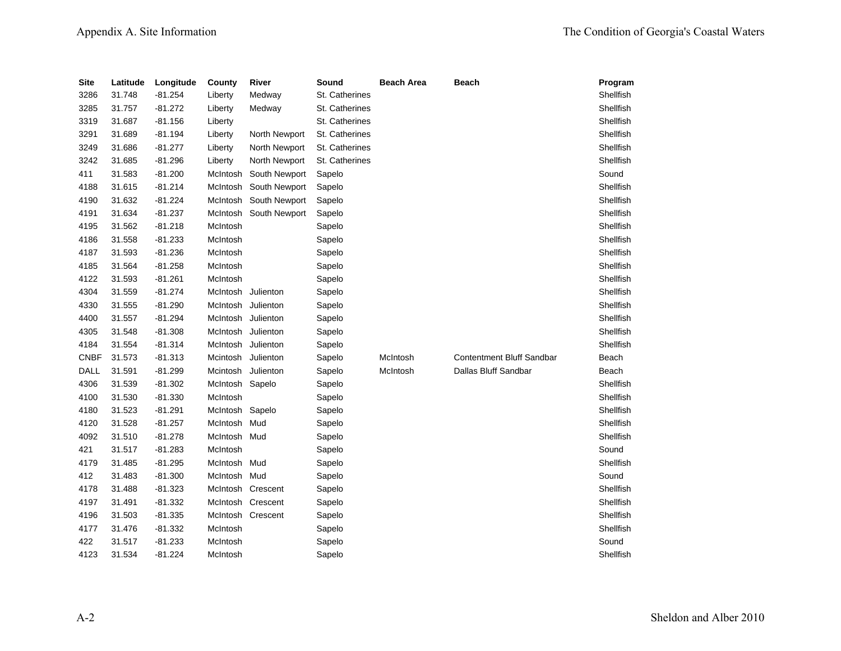| <b>Site</b> | Latitude | Longitude | County          | River                  | Sound          | <b>Beach Area</b> | Beach                            | Program   |
|-------------|----------|-----------|-----------------|------------------------|----------------|-------------------|----------------------------------|-----------|
| 3286        | 31.748   | $-81.254$ | Liberty         | Medway                 | St. Catherines |                   |                                  | Shellfish |
| 3285        | 31.757   | $-81.272$ | Liberty         | Medway                 | St. Catherines |                   |                                  | Shellfish |
| 3319        | 31.687   | $-81.156$ | Liberty         |                        | St. Catherines |                   |                                  | Shellfish |
| 3291        | 31.689   | $-81.194$ | Liberty         | North Newport          | St. Catherines |                   |                                  | Shellfish |
| 3249        | 31.686   | $-81.277$ | Liberty         | North Newport          | St. Catherines |                   |                                  | Shellfish |
| 3242        | 31.685   | $-81.296$ | Liberty         | North Newport          | St. Catherines |                   |                                  | Shellfish |
| 411         | 31.583   | $-81.200$ | McIntosh        | South Newport          | Sapelo         |                   |                                  | Sound     |
| 4188        | 31.615   | $-81.214$ | McIntosh        | South Newport          | Sapelo         |                   |                                  | Shellfish |
| 4190        | 31.632   | $-81.224$ | McIntosh        | South Newport          | Sapelo         |                   |                                  | Shellfish |
| 4191        | 31.634   | $-81.237$ |                 | McIntosh South Newport | Sapelo         |                   |                                  | Shellfish |
| 4195        | 31.562   | $-81.218$ | McIntosh        |                        | Sapelo         |                   |                                  | Shellfish |
| 4186        | 31.558   | $-81.233$ | McIntosh        |                        | Sapelo         |                   |                                  | Shellfish |
| 4187        | 31.593   | $-81.236$ | McIntosh        |                        | Sapelo         |                   |                                  | Shellfish |
| 4185        | 31.564   | $-81.258$ | McIntosh        |                        | Sapelo         |                   |                                  | Shellfish |
| 4122        | 31.593   | $-81.261$ | McIntosh        |                        | Sapelo         |                   |                                  | Shellfish |
| 4304        | 31.559   | $-81.274$ |                 | McIntosh Julienton     | Sapelo         |                   |                                  | Shellfish |
| 4330        | 31.555   | $-81.290$ | McIntosh        | Julienton              | Sapelo         |                   |                                  | Shellfish |
| 4400        | 31.557   | $-81.294$ | McIntosh        | Julienton              | Sapelo         |                   |                                  | Shellfish |
| 4305        | 31.548   | $-81.308$ | McIntosh        | Julienton              | Sapelo         |                   |                                  | Shellfish |
| 4184        | 31.554   | $-81.314$ | McIntosh        | Julienton              | Sapelo         |                   |                                  | Shellfish |
| <b>CNBF</b> | 31.573   | $-81.313$ | Mcintosh        | Julienton              | Sapelo         | McIntosh          | <b>Contentment Bluff Sandbar</b> | Beach     |
| DALL        | 31.591   | $-81.299$ | Mcintosh        | Julienton              | Sapelo         | McIntosh          | Dallas Bluff Sandbar             | Beach     |
| 4306        | 31.539   | $-81.302$ | McIntosh Sapelo |                        | Sapelo         |                   |                                  | Shellfish |
| 4100        | 31.530   | $-81.330$ | McIntosh        |                        | Sapelo         |                   |                                  | Shellfish |
| 4180        | 31.523   | $-81.291$ | McIntosh        | Sapelo                 | Sapelo         |                   |                                  | Shellfish |
| 4120        | 31.528   | $-81.257$ | McIntosh        | Mud                    | Sapelo         |                   |                                  | Shellfish |
| 4092        | 31.510   | $-81.278$ | McIntosh Mud    |                        | Sapelo         |                   |                                  | Shellfish |
| 421         | 31.517   | $-81.283$ | McIntosh        |                        | Sapelo         |                   |                                  | Sound     |
| 4179        | 31.485   | $-81.295$ | McIntosh Mud    |                        | Sapelo         |                   |                                  | Shellfish |
| 412         | 31.483   | $-81.300$ | McIntosh Mud    |                        | Sapelo         |                   |                                  | Sound     |
| 4178        | 31.488   | $-81.323$ |                 | McIntosh Crescent      | Sapelo         |                   |                                  | Shellfish |
| 4197        | 31.491   | $-81.332$ |                 | McIntosh Crescent      | Sapelo         |                   |                                  | Shellfish |
| 4196        | 31.503   | $-81.335$ |                 | McIntosh Crescent      | Sapelo         |                   |                                  | Shellfish |
| 4177        | 31.476   | $-81.332$ | McIntosh        |                        | Sapelo         |                   |                                  | Shellfish |
| 422         | 31.517   | $-81.233$ | McIntosh        |                        | Sapelo         |                   |                                  | Sound     |
| 4123        | 31.534   | $-81.224$ | McIntosh        |                        | Sapelo         |                   |                                  | Shellfish |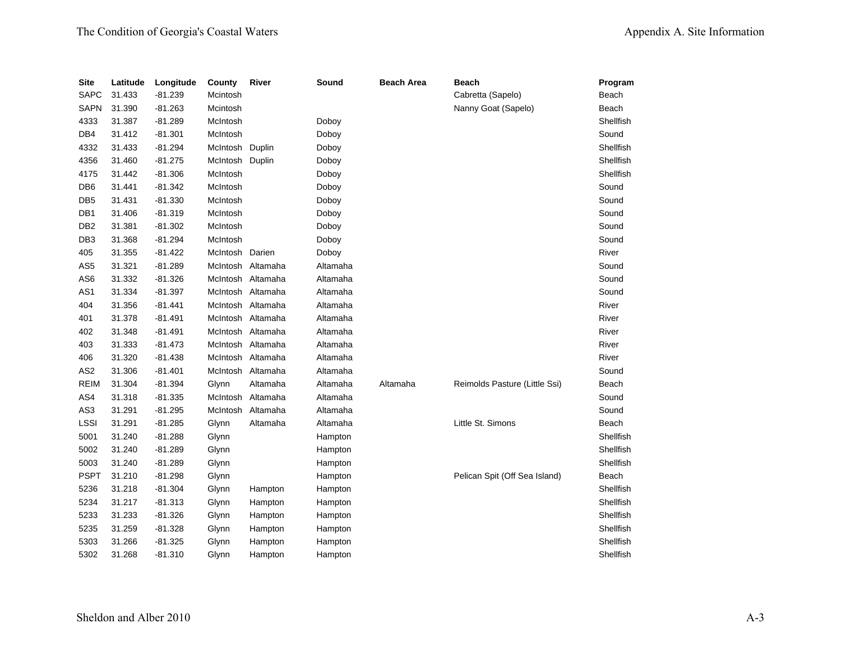| <b>Site</b>     | Latitude | Longitude | County          | River             | Sound    | <b>Beach Area</b> | <b>Beach</b>                  | Program   |
|-----------------|----------|-----------|-----------------|-------------------|----------|-------------------|-------------------------------|-----------|
| <b>SAPC</b>     | 31.433   | $-81.239$ | Mcintosh        |                   |          |                   | Cabretta (Sapelo)             | Beach     |
| <b>SAPN</b>     | 31.390   | $-81.263$ | Mcintosh        |                   |          |                   | Nanny Goat (Sapelo)           | Beach     |
| 4333            | 31.387   | $-81.289$ | McIntosh        |                   | Doboy    |                   |                               | Shellfish |
| DB4             | 31.412   | $-81.301$ | McIntosh        |                   | Doboy    |                   |                               | Sound     |
| 4332            | 31.433   | $-81.294$ | McIntosh Duplin |                   | Doboy    |                   |                               | Shellfish |
| 4356            | 31.460   | $-81.275$ | McIntosh Duplin |                   | Doboy    |                   |                               | Shellfish |
| 4175            | 31.442   | $-81.306$ | McIntosh        |                   | Doboy    |                   |                               | Shellfish |
| DB <sub>6</sub> | 31.441   | $-81.342$ | McIntosh        |                   | Doboy    |                   |                               | Sound     |
| DB <sub>5</sub> | 31.431   | $-81.330$ | McIntosh        |                   | Doboy    |                   |                               | Sound     |
| DB1             | 31.406   | $-81.319$ | McIntosh        |                   | Doboy    |                   |                               | Sound     |
| DB <sub>2</sub> | 31.381   | $-81.302$ | McIntosh        |                   | Doboy    |                   |                               | Sound     |
| DB <sub>3</sub> | 31.368   | $-81.294$ | McIntosh        |                   | Doboy    |                   |                               | Sound     |
| 405             | 31.355   | $-81.422$ | McIntosh        | Darien            | Doboy    |                   |                               | River     |
| AS <sub>5</sub> | 31.321   | $-81.289$ | McIntosh        | Altamaha          | Altamaha |                   |                               | Sound     |
| AS <sub>6</sub> | 31.332   | $-81.326$ |                 | McIntosh Altamaha | Altamaha |                   |                               | Sound     |
| AS <sub>1</sub> | 31.334   | $-81.397$ |                 | McIntosh Altamaha | Altamaha |                   |                               | Sound     |
| 404             | 31.356   | $-81.441$ |                 | McIntosh Altamaha | Altamaha |                   |                               | River     |
| 401             | 31.378   | $-81.491$ |                 | McIntosh Altamaha | Altamaha |                   |                               | River     |
| 402             | 31.348   | $-81.491$ |                 | McIntosh Altamaha | Altamaha |                   |                               | River     |
| 403             | 31.333   | $-81.473$ | McIntosh        | Altamaha          | Altamaha |                   |                               | River     |
| 406             | 31.320   | $-81.438$ | McIntosh        | Altamaha          | Altamaha |                   |                               | River     |
| AS <sub>2</sub> | 31.306   | $-81.401$ | McIntosh        | Altamaha          | Altamaha |                   |                               | Sound     |
| <b>REIM</b>     | 31.304   | $-81.394$ | Glynn           | Altamaha          | Altamaha | Altamaha          | Reimolds Pasture (Little Ssi) | Beach     |
| AS4             | 31.318   | $-81.335$ | McIntosh        | Altamaha          | Altamaha |                   |                               | Sound     |
| AS3             | 31.291   | $-81.295$ | McIntosh        | Altamaha          | Altamaha |                   |                               | Sound     |
| <b>LSSI</b>     | 31.291   | $-81.285$ | Glynn           | Altamaha          | Altamaha |                   | Little St. Simons             | Beach     |
| 5001            | 31.240   | $-81.288$ | Glynn           |                   | Hampton  |                   |                               | Shellfish |
| 5002            | 31.240   | $-81.289$ | Glynn           |                   | Hampton  |                   |                               | Shellfish |
| 5003            | 31.240   | $-81.289$ | Glynn           |                   | Hampton  |                   |                               | Shellfish |
| <b>PSPT</b>     | 31.210   | $-81.298$ | Glynn           |                   | Hampton  |                   | Pelican Spit (Off Sea Island) | Beach     |
| 5236            | 31.218   | $-81.304$ | Glynn           | Hampton           | Hampton  |                   |                               | Shellfish |
| 5234            | 31.217   | $-81.313$ | Glynn           | Hampton           | Hampton  |                   |                               | Shellfish |
| 5233            | 31.233   | $-81.326$ | Glynn           | Hampton           | Hampton  |                   |                               | Shellfish |
| 5235            | 31.259   | $-81.328$ | Glynn           | Hampton           | Hampton  |                   |                               | Shellfish |
| 5303            | 31.266   | $-81.325$ | Glynn           | Hampton           | Hampton  |                   |                               | Shellfish |
| 5302            | 31.268   | $-81.310$ | Glynn           | Hampton           | Hampton  |                   |                               | Shellfish |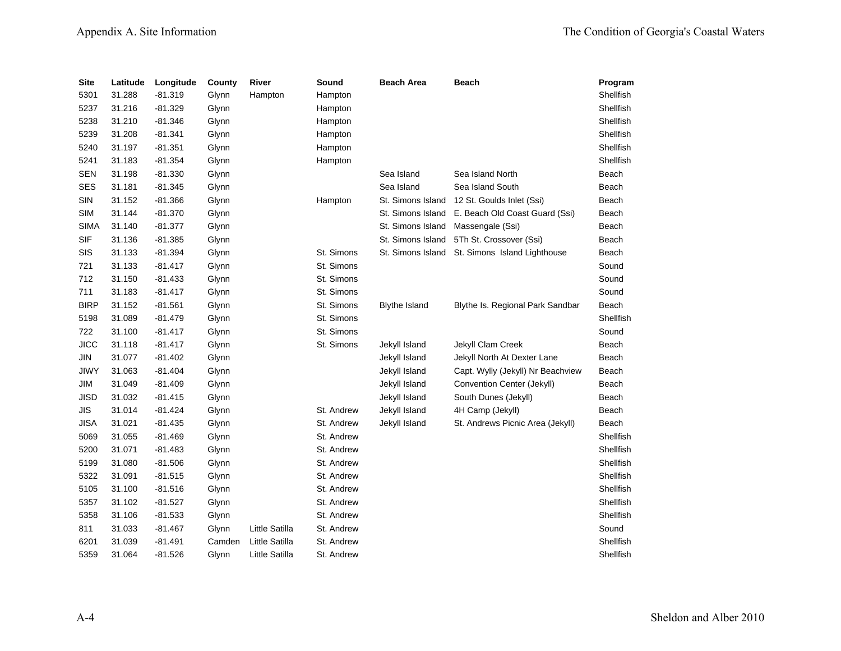| <b>Site</b> | Latitude | Longitude | County | River          | Sound      | <b>Beach Area</b>    | <b>Beach</b>                      | Program          |
|-------------|----------|-----------|--------|----------------|------------|----------------------|-----------------------------------|------------------|
| 5301        | 31.288   | $-81.319$ | Glynn  | Hampton        | Hampton    |                      |                                   | Shellfish        |
| 5237        | 31.216   | $-81.329$ | Glynn  |                | Hampton    |                      |                                   | Shellfish        |
| 5238        | 31.210   | $-81.346$ | Glynn  |                | Hampton    |                      |                                   | Shellfish        |
| 5239        | 31.208   | $-81.341$ | Glynn  |                | Hampton    |                      |                                   | Shellfish        |
| 5240        | 31.197   | $-81.351$ | Glynn  |                | Hampton    |                      |                                   | Shellfish        |
| 5241        | 31.183   | $-81.354$ | Glynn  |                | Hampton    |                      |                                   | Shellfish        |
| <b>SEN</b>  | 31.198   | $-81.330$ | Glynn  |                |            | Sea Island           | Sea Island North                  | Beach            |
| <b>SES</b>  | 31.181   | $-81.345$ | Glynn  |                |            | Sea Island           | Sea Island South                  | Beach            |
| SIN         | 31.152   | $-81.366$ | Glynn  |                | Hampton    | St. Simons Island    | 12 St. Goulds Inlet (Ssi)         | Beach            |
| <b>SIM</b>  | 31.144   | $-81.370$ | Glynn  |                |            | St. Simons Island    | E. Beach Old Coast Guard (Ssi)    | Beach            |
| <b>SIMA</b> | 31.140   | $-81.377$ | Glynn  |                |            | St. Simons Island    | Massengale (Ssi)                  | Beach            |
| <b>SIF</b>  | 31.136   | $-81.385$ | Glynn  |                |            | St. Simons Island    | 5Th St. Crossover (Ssi)           | Beach            |
| SIS         | 31.133   | $-81.394$ | Glynn  |                | St. Simons | St. Simons Island    | St. Simons Island Lighthouse      | Beach            |
| 721         | 31.133   | $-81.417$ | Glynn  |                | St. Simons |                      |                                   | Sound            |
| 712         | 31.150   | $-81.433$ | Glynn  |                | St. Simons |                      |                                   | Sound            |
| 711         | 31.183   | $-81.417$ | Glynn  |                | St. Simons |                      |                                   | Sound            |
| <b>BIRP</b> | 31.152   | $-81.561$ | Glynn  |                | St. Simons | <b>Blythe Island</b> | Blythe Is. Regional Park Sandbar  | Beach            |
| 5198        | 31.089   | $-81.479$ | Glynn  |                | St. Simons |                      |                                   | Shellfish        |
| 722         | 31.100   | $-81.417$ | Glynn  |                | St. Simons |                      |                                   | Sound            |
| <b>JICC</b> | 31.118   | $-81.417$ | Glynn  |                | St. Simons | Jekyll Island        | Jekyll Clam Creek                 | Beach            |
| JIN         | 31.077   | $-81.402$ | Glynn  |                |            | Jekyll Island        | Jekyll North At Dexter Lane       | Beach            |
| JIWY        | 31.063   | $-81.404$ | Glynn  |                |            | Jekyll Island        | Capt. Wylly (Jekyll) Nr Beachview | Beach            |
| JIM         | 31.049   | $-81.409$ | Glynn  |                |            | Jekyll Island        | Convention Center (Jekyll)        | Beach            |
| <b>JISD</b> | 31.032   | $-81.415$ | Glynn  |                |            | Jekyll Island        | South Dunes (Jekyll)              | Beach            |
| <b>JIS</b>  | 31.014   | $-81.424$ | Glynn  |                | St. Andrew | Jekyll Island        | 4H Camp (Jekyll)                  | Beach            |
| <b>JISA</b> | 31.021   | $-81.435$ | Glynn  |                | St. Andrew | Jekyll Island        | St. Andrews Picnic Area (Jekyll)  | Beach            |
| 5069        | 31.055   | $-81.469$ | Glynn  |                | St. Andrew |                      |                                   | <b>Shellfish</b> |
| 5200        | 31.071   | $-81.483$ | Glynn  |                | St. Andrew |                      |                                   | Shellfish        |
| 5199        | 31.080   | $-81.506$ | Glynn  |                | St. Andrew |                      |                                   | Shellfish        |
| 5322        | 31.091   | $-81.515$ | Glynn  |                | St. Andrew |                      |                                   | Shellfish        |
| 5105        | 31.100   | $-81.516$ | Glynn  |                | St. Andrew |                      |                                   | Shellfish        |
| 5357        | 31.102   | $-81.527$ | Glynn  |                | St. Andrew |                      |                                   | Shellfish        |
| 5358        | 31.106   | $-81.533$ | Glynn  |                | St. Andrew |                      |                                   | Shellfish        |
| 811         | 31.033   | $-81.467$ | Glynn  | Little Satilla | St. Andrew |                      |                                   | Sound            |
| 6201        | 31.039   | -81.491   | Camden | Little Satilla | St. Andrew |                      |                                   | Shellfish        |
| 5359        | 31.064   | $-81.526$ | Glynn  | Little Satilla | St. Andrew |                      |                                   | Shellfish        |